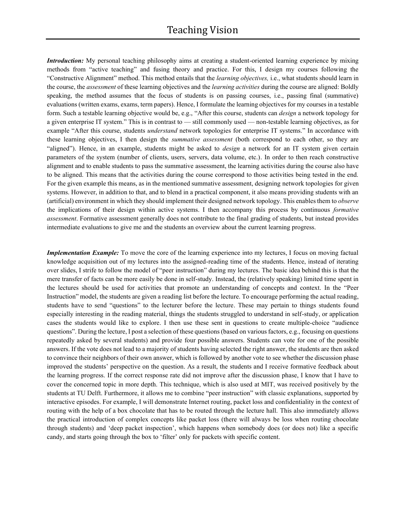*Introduction:* My personal teaching philosophy aims at creating a student-oriented learning experience by mixing methods from "active teaching" and fusing theory and practice. For this, I design my courses following the "Constructive Alignment" method. This method entails that the *learning objectives,* i.e., what students should learn in the course, the *assessment* of these learning objectives and the *learning activities* during the course are aligned: Boldly speaking, the method assumes that the focus of students is on passing courses, i.e., passing final (summative) evaluations (written exams, exams, term papers). Hence, I formulate the learning objectives for my courses in a testable form. Such a testable learning objective would be, e.g., "After this course, students can *design* a network topology for a given enterprise IT system." This is in contrast to — still commonly used — non-testable learning objectives, as for example "After this course, students *understand* network topologies for enterprise IT systems." In accordance with these learning objectives, I then design the *summative assessment* (both correspond to each other, so they are "aligned"). Hence, in an example, students might be asked to *design* a network for an IT system given certain parameters of the system (number of clients, users, servers, data volume, etc.). In order to then reach constructive alignment and to enable students to pass the summative assessment, the learning activities during the course also have to be aligned. This means that the activities during the course correspond to those activities being tested in the end. For the given example this means, as in the mentioned summative assessment, designing network topologies for given systems. However, in addition to that, and to blend in a practical component, it also means providing students with an (artificial) environment in which they should implement their designed network topology. This enables them to *observe* the implications of their design within active systems. I then accompany this process by continuous *formative assessment*. Formative assessment generally does not contribute to the final grading of students, but instead provides intermediate evaluations to give me and the students an overview about the current learning progress.

*Implementation Example:* To move the core of the learning experience into my lectures, I focus on moving factual knowledge acquisition out of my lectures into the assigned-reading time of the students. Hence, instead of iterating over slides, I strife to follow the model of "peer instruction" during my lectures. The basic idea behind this is that the mere transfer of facts can be more easily be done in self-study. Instead, the (relatively speaking) limited time spent in the lectures should be used for activities that promote an understanding of concepts and context. In the "Peer Instruction" model, the students are given a reading list before the lecture. To encourage performing the actual reading, students have to send "questions" to the lecturer before the lecture. These may pertain to things students found especially interesting in the reading material, things the students struggled to understand in self-study, or application cases the students would like to explore. I then use these sent in questions to create multiple-choice "audience questions". During the lecture, I post a selection of these questions (based on various factors, e.g., focusing on questions repeatedly asked by several students) and provide four possible answers. Students can vote for one of the possible answers. If the vote does not lead to a majority of students having selected the right answer, the students are then asked to convince their neighbors of their own answer, which is followed by another vote to see whether the discussion phase improved the students' perspective on the question. As a result, the students and I receive formative feedback about the learning progress. If the correct response rate did not improve after the discussion phase, I know that I have to cover the concerned topic in more depth. This technique, which is also used at MIT, was received positively by the students at TU Delft. Furthermore, it allows me to combine "peer instruction" with classic explanations, supported by interactive episodes. For example, I will demonstrate Internet routing, packet loss and confidentiality in the context of routing with the help of a box chocolate that has to be routed through the lecture hall. This also immediately allows the practical introduction of complex concepts like packet loss (there will always be loss when routing chocolate through students) and 'deep packet inspection', which happens when somebody does (or does not) like a specific candy, and starts going through the box to 'filter' only for packets with specific content.